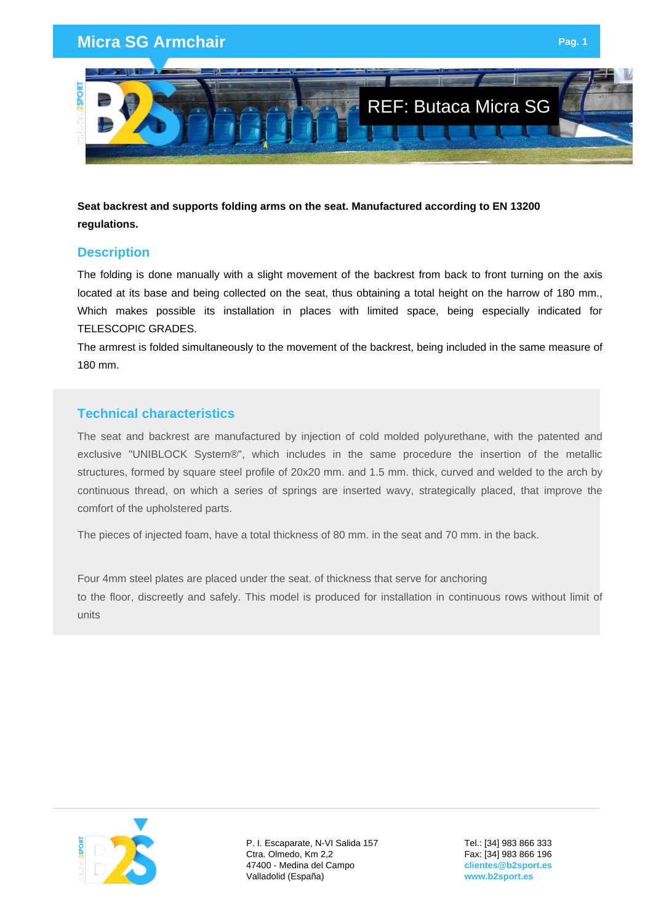## **Micra SG Armchair Page 11 And 2012 12:30 Page 12:30 Page 12:30 Page 12:30 Page 1**



**Seat backrest and supports folding arms on the seat. Manufactured according to EN 13200 regulations.**

## **Description**

The folding is done manually with a slight movement of the backrest from back to front turning on the axis located at its base and being collected on the seat, thus obtaining a total height on the harrow of 180 mm., Which makes possible its installation in places with limited space, being especially indicated for TELESCOPIC GRADES.

The armrest is folded simultaneously to the movement of the backrest, being included in the same measure of 180 mm.

## **Technical characteristics**

The seat and backrest are manufactured by injection of cold molded polyurethane, with the patented and exclusive "UNIBLOCK System®", which includes in the same procedure the insertion of the metallic structures, formed by square steel profile of 20x20 mm. and 1.5 mm. thick, curved and welded to the arch by continuous thread, on which a series of springs are inserted wavy, strategically placed, that improve the comfort of the upholstered parts.

The pieces of injected foam, have a total thickness of 80 mm. in the seat and 70 mm. in the back.

Four 4mm steel plates are placed under the seat. of thickness that serve for anchoring to the floor, discreetly and safely. This model is produced for installation in continuous rows without limit of units



P. I. Escaparate, N-VI Salida 157 Ctra. Olmedo, Km 2,2 47400 - Medina del Campo Valladolid (España)

Tel.: [34] 983 866 333 Fax: [34] 983 866 196 **clientes@b2sport.es www.b2sport.es**